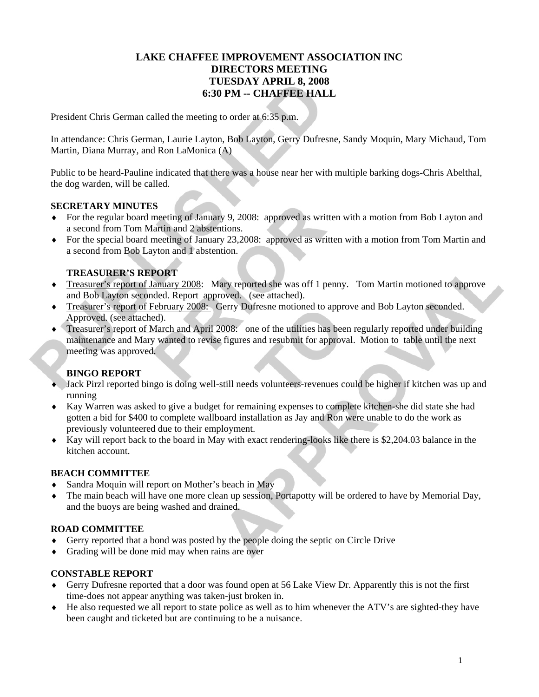# **LAKE CHAFFEE IMPROVEMENT ASSOCIATION INC DIRECTORS MEETING TUESDAY APRIL 8, 2008 6:30 PM -- CHAFFEE HALL**

President Chris German called the meeting to order at 6:35 p.m.

In attendance: Chris German, Laurie Layton, Bob Layton, Gerry Dufresne, Sandy Moquin, Mary Michaud, Tom Martin, Diana Murray, and Ron LaMonica (A)

Public to be heard-Pauline indicated that there was a house near her with multiple barking dogs-Chris Abelthal, the dog warden, will be called.

## **SECRETARY MINUTES**

- ♦ For the regular board meeting of January 9, 2008: approved as written with a motion from Bob Layton and a second from Tom Martin and 2 abstentions.
- ♦ For the special board meeting of January 23,2008: approved as written with a motion from Tom Martin and a second from Bob Layton and 1 abstention.

## **TREASURER'S REPORT**

- ♦ Treasurer's report of January 2008: Mary reported she was off 1 penny. Tom Martin motioned to approve and Bob Layton seconded. Report approved. (see attached).
- ♦ Treasurer's report of February 2008: Gerry Dufresne motioned to approve and Bob Layton seconded. Approved. (see attached).
- ♦ Treasurer's report of March and April 2008: one of the utilities has been regularly reported under building maintenance and Mary wanted to revise figures and resubmit for approval. Motion to table until the next meeting was approved.

# **BINGO REPORT**

- ♦ Jack Pirzl reported bingo is doing well-still needs volunteers-revenues could be higher if kitchen was up and running
- ♦ Kay Warren was asked to give a budget for remaining expenses to complete kitchen-she did state she had gotten a bid for \$400 to complete wallboard installation as Jay and Ron were unable to do the work as previously volunteered due to their employment.
- ♦ Kay will report back to the board in May with exact rendering-looks like there is \$2,204.03 balance in the kitchen account.

## **BEACH COMMITTEE**

- ♦ Sandra Moquin will report on Mother's beach in May
- ♦ The main beach will have one more clean up session, Portapotty will be ordered to have by Memorial Day, and the buoys are being washed and drained.

## **ROAD COMMITTEE**

- Gerry reported that a bond was posted by the people doing the septic on Circle Drive
- ♦ Grading will be done mid may when rains are over

## **CONSTABLE REPORT**

- ♦ Gerry Dufresne reported that a door was found open at 56 Lake View Dr. Apparently this is not the first time-does not appear anything was taken-just broken in.
- ♦ He also requested we all report to state police as well as to him whenever the ATV's are sighted-they have been caught and ticketed but are continuing to be a nuisance.